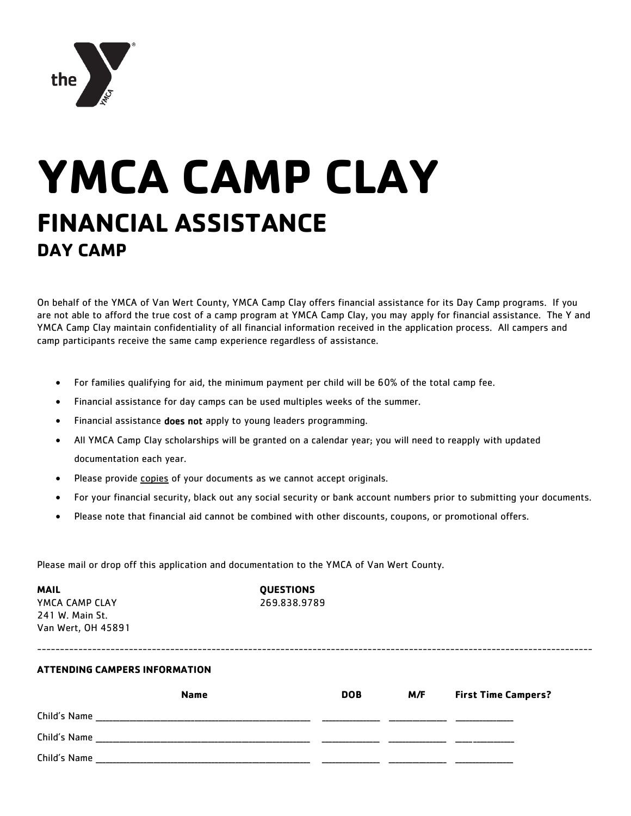

# **YMCA CAMP CLAY FINANCIAL ASSISTANCE DAY CAMP**

On behalf of the YMCA of Van Wert County, YMCA Camp Clay offers financial assistance for its Day Camp programs. If you are not able to afford the true cost of a camp program at YMCA Camp Clay, you may apply for financial assistance. The Y and YMCA Camp Clay maintain confidentiality of all financial information received in the application process. All campers and camp participants receive the same camp experience regardless of assistance.

- For families qualifying for aid, the minimum payment per child will be 60% of the total camp fee.
- Financial assistance for day camps can be used multiples weeks of the summer.
- Financial assistance does not apply to young leaders programming.
- All YMCA Camp Clay scholarships will be granted on a calendar year; you will need to reapply with updated documentation each year.
- Please provide copies of your documents as we cannot accept originals.
- For your financial security, black out any social security or bank account numbers prior to submitting your documents.
- Please note that financial aid cannot be combined with other discounts, coupons, or promotional offers.

Please mail or drop off this application and documentation to the YMCA of Van Wert County.

**MAIL QUESTIONS** YMCA CAMP CLAY 269.838.9789 241 W. Main St. Van Wert, OH 45891

#### **ATTENDING CAMPERS INFORMATION**

|              | <b>Name</b> | <b>DOB</b> | M/F | <b>First Time Campers?</b> |
|--------------|-------------|------------|-----|----------------------------|
| Child's Name |             |            |     |                            |
| Child's Name |             |            |     |                            |
| Child's Name |             |            |     |                            |

-------------------------------------------------------------------------------------------------------------------------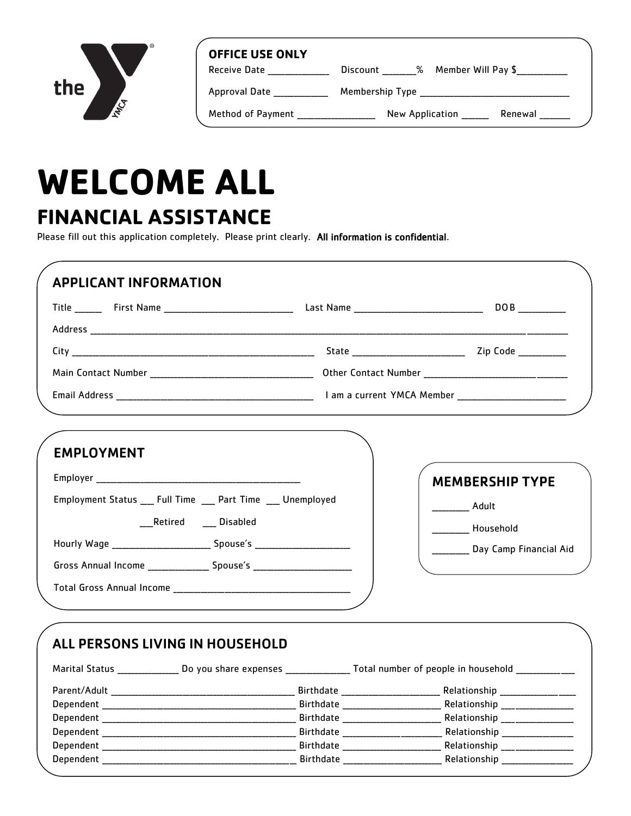

| <b>OFFICE USE ONLY</b> |                                  |
|------------------------|----------------------------------|
| Receive Date           | % Member Will Pay \$<br>Discount |
| Approval Date          | Membership Type                  |
| Method of Payment      | New Application<br>Renewal       |

## **WELCOME ALL FINANCIAL ASSISTANCE**

Please fill out this application completely. Please print clearly. All information is confidential.

| <b>APPLICANT INFORMATION</b>                                                     |                                                                                                                                         |
|----------------------------------------------------------------------------------|-----------------------------------------------------------------------------------------------------------------------------------------|
|                                                                                  |                                                                                                                                         |
|                                                                                  |                                                                                                                                         |
|                                                                                  |                                                                                                                                         |
|                                                                                  |                                                                                                                                         |
|                                                                                  |                                                                                                                                         |
|                                                                                  |                                                                                                                                         |
| <b>EMPLOYMENT</b>                                                                |                                                                                                                                         |
|                                                                                  | <b>MEMBERSHIP TYPE</b>                                                                                                                  |
| Employment Status ___ Full Time ___ Part Time ___ Unemployed                     |                                                                                                                                         |
|                                                                                  | ____________ Adult                                                                                                                      |
| Retired Disabled                                                                 | Household                                                                                                                               |
| Hourly Wage __________________________________ Spouse's ________________________ |                                                                                                                                         |
|                                                                                  | Day Camp Financial Aid                                                                                                                  |
| Gross Annual Income ________________ Spouse's __________________________________ |                                                                                                                                         |
|                                                                                  |                                                                                                                                         |
|                                                                                  |                                                                                                                                         |
|                                                                                  |                                                                                                                                         |
| ALL PERSONS LIVING IN HOUSEHOLD                                                  |                                                                                                                                         |
|                                                                                  | Marital Status ________________ Do you share expenses __________________ Total number of people in household __________________________ |
|                                                                                  | Relationship __________________                                                                                                         |
|                                                                                  | Relationship __________________                                                                                                         |
|                                                                                  | Relationship __________________                                                                                                         |
|                                                                                  |                                                                                                                                         |
|                                                                                  |                                                                                                                                         |
|                                                                                  |                                                                                                                                         |